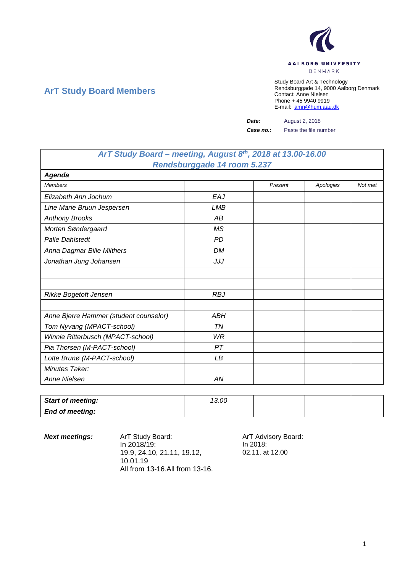

## **ArT Study Board Members**

Study Board Art & Technology Rendsburggade 14, 9000 Aalborg Denmark Contact: Anne Nielsen Phone + 45 9940 9919 E-mail: [amn@hum.aau.dk](mailto:amn@hum.aau.dk)

*Date:* August 2, 2018

*Case no.:* Paste the file number

## *ArT Study Board – meeting, August 8th, 2018 at 13.00-16.00 Rendsburggade 14 room 5.237*

| Agenda                                 |            |         |           |         |
|----------------------------------------|------------|---------|-----------|---------|
| <b>Members</b>                         |            | Present | Apologies | Not met |
| Elizabeth Ann Jochum                   | EAJ        |         |           |         |
| Line Marie Bruun Jespersen             | <b>LMB</b> |         |           |         |
| <b>Anthony Brooks</b>                  | АB         |         |           |         |
| Morten Søndergaard                     | <b>MS</b>  |         |           |         |
| <b>Palle Dahlstedt</b>                 | <b>PD</b>  |         |           |         |
| Anna Dagmar Bille Milthers             | DM         |         |           |         |
| Jonathan Jung Johansen                 | JJJ        |         |           |         |
|                                        |            |         |           |         |
|                                        |            |         |           |         |
| Rikke Bogetoft Jensen                  | <b>RBJ</b> |         |           |         |
|                                        |            |         |           |         |
| Anne Bjerre Hammer (student counselor) | <b>ABH</b> |         |           |         |
| Tom Nyvang (MPACT-school)              | TN         |         |           |         |
| Winnie Ritterbusch (MPACT-school)      | WR         |         |           |         |
| Pia Thorsen (M-PACT-school)            | PТ         |         |           |         |
| Lotte Brunø (M-PACT-school)            | LВ         |         |           |         |
| Minutes Taker:                         |            |         |           |         |
| Anne Nielsen                           | AN         |         |           |         |

| <b>Start of meeting:</b> | 13.00 |  |  |
|--------------------------|-------|--|--|
| <b>End of meeting:</b>   |       |  |  |

**Next meetings:** ArT Study Board: ArT Advisory Board: In 2018/19: 19.9, 24.10, 21.11, 19.12, 10.01.19 All from 13-16.All from 13-16.

In 2018: 02.11. at 12.00